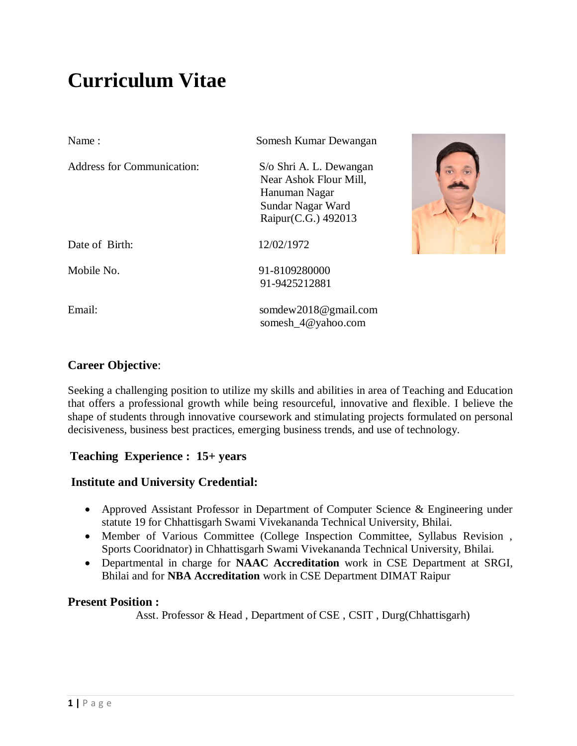# **Curriculum Vitae**

| Name:                             | Somesh Kumar Dewangan                                                                                          |  |
|-----------------------------------|----------------------------------------------------------------------------------------------------------------|--|
| <b>Address for Communication:</b> | S/o Shri A. L. Dewangan<br>Near Ashok Flour Mill,<br>Hanuman Nagar<br>Sundar Nagar Ward<br>Raipur(C.G.) 492013 |  |
| Date of Birth:                    | 12/02/1972                                                                                                     |  |
| Mobile No.                        | 91-8109280000<br>91-9425212881                                                                                 |  |
| Email:                            | somdew2018@gmail.com<br>somesh_4@yahoo.com                                                                     |  |

# **Career Objective**:

Seeking a challenging position to utilize my skills and abilities in area of Teaching and Education that offers a professional growth while being resourceful, innovative and flexible. I believe the shape of students through innovative coursework and stimulating projects formulated on personal decisiveness, business best practices, emerging business trends, and use of technology.

# **Teaching Experience : 15+ years**

# **Institute and University Credential:**

- Approved Assistant Professor in Department of Computer Science & Engineering under statute 19 for Chhattisgarh Swami Vivekananda Technical University, Bhilai.
- Member of Various Committee (College Inspection Committee, Syllabus Revision , Sports Cooridnator) in Chhattisgarh Swami Vivekananda Technical University, Bhilai.
- Departmental in charge for **NAAC Accreditation** work in CSE Department at SRGI, Bhilai and for **NBA Accreditation** work in CSE Department DIMAT Raipur

# **Present Position :**

Asst. Professor & Head , Department of CSE , CSIT , Durg(Chhattisgarh)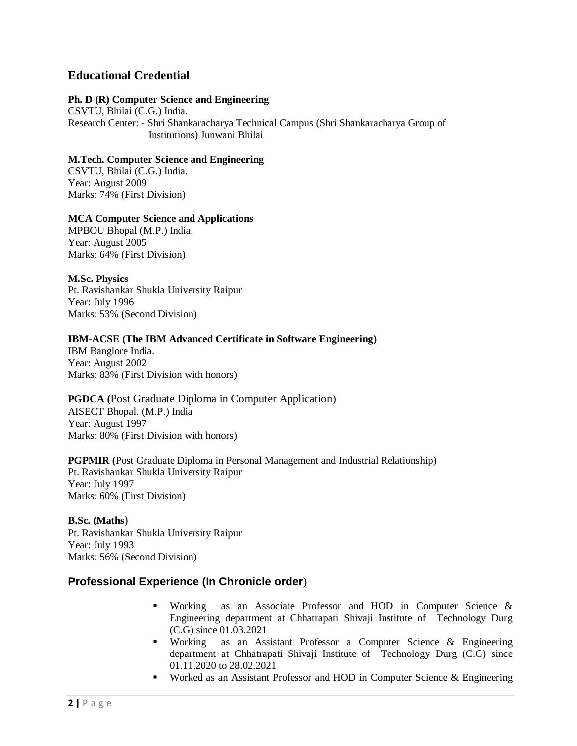# **Educational Credential**

#### **Ph. D (R) Computer Science and Engineering**

CSVTU, Bhilai (C.G.) India. Research Center: - Shri Shankaracharya Technical Campus (Shri Shankaracharya Group of Institutions) Junwani Bhilai

#### **M.Tech. Computer Science and Engineering**

CSVTU, Bhilai (C.G.) India. Year: August 2009 Marks: 74% (First Division)

#### **MCA Computer Science and Applications**

MPBOU Bhopal (M.P.) India. Year: August 2005 Marks: 64% (First Division)

#### **M.Sc. Physics**

Pt. Ravishankar Shukla University Raipur Year: July 1996 Marks: 53% (Second Division)

### **IBM-ACSE (The IBM Advanced Certificate in Software Engineering)**

IBM Banglore India. Year: August 2002 Marks: 83% (First Division with honors)

#### **PGDCA (**Post Graduate Diploma in Computer Application) AISECT Bhopal. (M.P.) India Year: August 1997 Marks: 80% (First Division with honors)

**PGPMIR (**Post Graduate Diploma in Personal Management and Industrial Relationship) Pt. Ravishankar Shukla University Raipur Year: July 1997 Marks: 60% (First Division)

#### **B.Sc. (Maths**) Pt. Ravishankar Shukla University Raipur Year: July 1993 Marks: 56% (Second Division)

# **Professional Experience (In Chronicle order**)

- Working as an Associate Professor and HOD in Computer Science & Engineering department at Chhatrapati Shivaji Institute of Technology Durg (C.G) since 01.03.2021
- Working as an Assistant Professor a Computer Science & Engineering department at Chhatrapati Shivaji Institute of Technology Durg (C.G) since 01.11.2020 to 28.02.2021
- Worked as an Assistant Professor and HOD in Computer Science & Engineering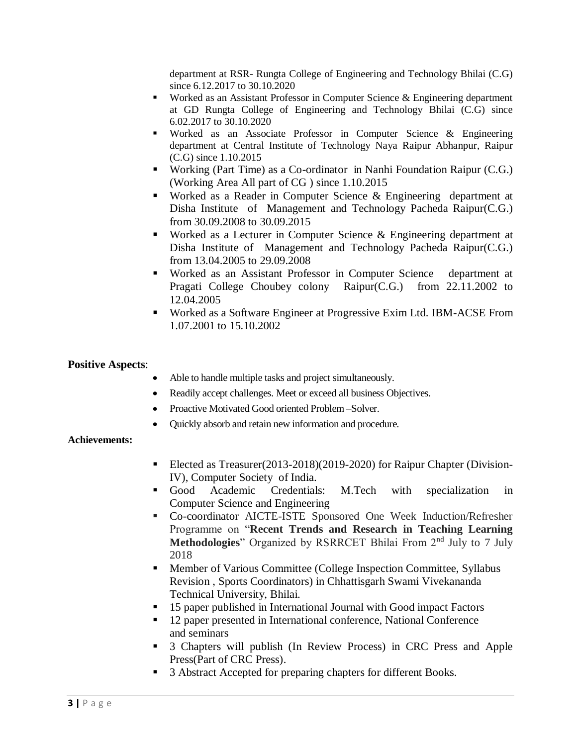department at RSR- Rungta College of Engineering and Technology Bhilai (C.G) since 6.12.2017 to 30.10.2020

- Worked as an Assistant Professor in Computer Science & Engineering department at GD Rungta College of Engineering and Technology Bhilai (C.G) since 6.02.2017 to 30.10.2020
- Worked as an Associate Professor in Computer Science & Engineering department at Central Institute of Technology Naya Raipur Abhanpur, Raipur (C.G) since 1.10.2015
- Working (Part Time) as a Co-ordinator in Nanhi Foundation Raipur (C.G.) (Working Area All part of CG ) since 1.10.2015
- Worked as a Reader in Computer Science & Engineering department at Disha Institute of Management and Technology Pacheda Raipur(C.G.) from 30.09.2008 to 30.09.2015
- Worked as a Lecturer in Computer Science & Engineering department at Disha Institute of Management and Technology Pacheda Raipur(C.G.) from 13.04.2005 to 29.09.2008
- Worked as an Assistant Professor in Computer Science department at Pragati College Choubey colony Raipur(C.G.) from 22.11.2002 to 12.04.2005
- Worked as a Software Engineer at Progressive Exim Ltd. IBM-ACSE From 1.07.2001 to 15.10.2002

## **Positive Aspects**:

- Able to handle multiple tasks and project simultaneously.
- Readily accept challenges. Meet or exceed all business Objectives.
- Proactive Motivated Good oriented Problem Solver.
- Quickly absorb and retain new information and procedure.

### **Achievements:**

- Elected as Treasurer(2013-2018)(2019-2020) for Raipur Chapter (Division-IV), Computer Society of India.
- Good Academic Credentials: M.Tech with specialization in Computer Science and Engineering
- Co-coordinator AICTE-ISTE Sponsored One Week Induction/Refresher Programme on "**Recent Trends and Research in Teaching Learning**  Methodologies" Organized by RSRRCET Bhilai From 2<sup>nd</sup> July to 7 July 2018
- Member of Various Committee (College Inspection Committee, Syllabus Revision , Sports Coordinators) in Chhattisgarh Swami Vivekananda Technical University, Bhilai.
- 15 paper published in International Journal with Good impact Factors
- 12 paper presented in International conference, National Conference and seminars
- 3 Chapters will publish (In Review Process) in CRC Press and Apple Press(Part of CRC Press).
- 3 Abstract Accepted for preparing chapters for different Books.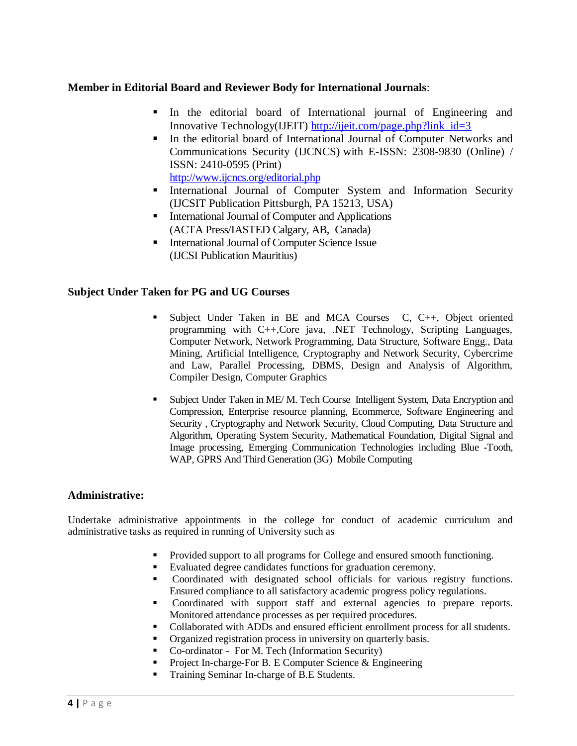# **Member in Editorial Board and Reviewer Body for International Journals**:

- In the editorial board of International journal of Engineering and Innovative Technology(IJEIT) [http://ijeit.com/page.php?link\\_id=3](http://ijeit.com/page.php?link_id=3)
- In the editorial board of International Journal of Computer Networks and Communications Security (IJCNCS) with E-ISSN: 2308-9830 (Online) / ISSN: 2410-0595 (Print)
	- <http://www.ijcncs.org/editorial.php>
- **International Journal of Computer System and Information Security** (IJCSIT Publication Pittsburgh, PA 15213, USA)
- **International Journal of Computer and Applications** (ACTA Press/IASTED Calgary, AB, Canada)
- International Journal of Computer Science Issue (IJCSI Publication Mauritius)

# **Subject Under Taken for PG and UG Courses**

- Subject Under Taken in BE and MCA Courses C, C++, Object oriented programming with C++,Core java, .NET Technology, Scripting Languages, Computer Network, Network Programming, Data Structure, Software Engg., Data Mining, Artificial Intelligence, Cryptography and Network Security, Cybercrime and Law, Parallel Processing, DBMS, Design and Analysis of Algorithm, Compiler Design, Computer Graphics
- **Subject Under Taken in ME/ M. Tech Course Intelligent System, Data Encryption and** Compression, Enterprise resource planning, Ecommerce, Software Engineering and Security , Cryptography and Network Security, Cloud Computing, Data Structure and Algorithm, Operating System Security, Mathematical Foundation, Digital Signal and Image processing, Emerging Communication Technologies including Blue -Tooth, WAP, GPRS And Third Generation (3G) Mobile Computing

# **Administrative:**

Undertake administrative appointments in the college for conduct of academic curriculum and administrative tasks as required in running of University such as

- Provided support to all programs for College and ensured smooth functioning.
- Evaluated degree candidates functions for graduation ceremony.
- Coordinated with designated school officials for various registry functions. Ensured compliance to all satisfactory academic progress policy regulations.
- Coordinated with support staff and external agencies to prepare reports. Monitored attendance processes as per required procedures.
- Collaborated with ADDs and ensured efficient enrollment process for all students.
- Organized registration process in university on quarterly basis.
- Co-ordinator For M. Tech (Information Security)
- **Project In-charge-For B. E Computer Science & Engineering**
- Training Seminar In-charge of B.E Students.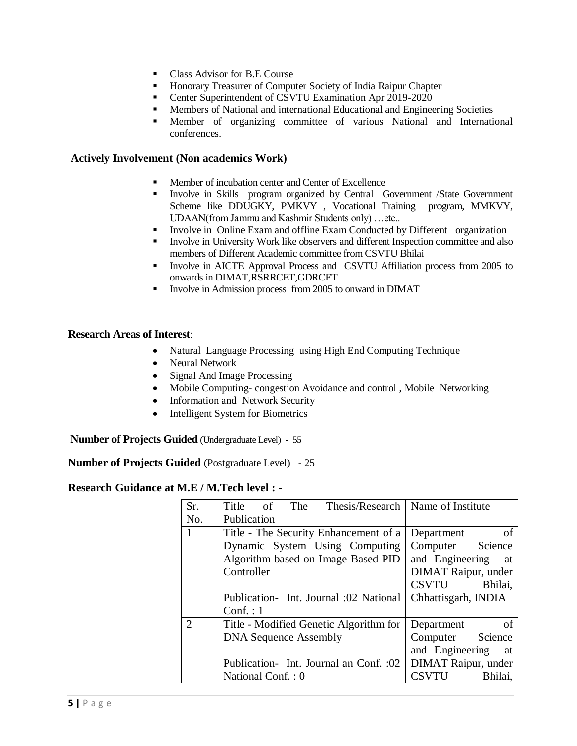- Class Advisor for B.E Course
- **Honorary Treasurer of Computer Society of India Raipur Chapter**
- **Center Superintendent of CSVTU Examination Apr 2019-2020**
- **Members of National and international Educational and Engineering Societies**
- Member of organizing committee of various National and International conferences.

## **Actively Involvement (Non academics Work)**

- **Member of incubation center and Center of Excellence**
- **Involve in Skills program organized by Central Government /State Government** Scheme like DDUGKY, PMKVY , Vocational Training program, MMKVY, UDAAN(from Jammu and Kashmir Students only) …etc..
- Involve in Online Exam and offline Exam Conducted by Different organization
- Involve in University Work like observers and different Inspection committee and also members of Different Academic committee from CSVTU Bhilai
- Involve in AICTE Approval Process and CSVTU Affiliation process from 2005 to onwards in DIMAT,RSRRCET,GDRCET
- Involve in Admission process from 2005 to onward in DIMAT

## **Research Areas of Interest**:

- Natural Language Processing using High End Computing Technique
- Neural Network
- Signal And Image Processing
- Mobile Computing-congestion Avoidance and control, Mobile Networking
- Information and Network Security
- Intelligent System for Biometrics

**Number of Projects Guided** (Undergraduate Level) - 55

**Number of Projects Guided** (Postgraduate Level) - 25

# **Research Guidance at M.E / M.Tech level : -**

| Sr.            | Title<br>The<br>of                     | Thesis/Research   Name of Institute |
|----------------|----------------------------------------|-------------------------------------|
| No.            | Publication                            |                                     |
| $\mathbf{1}$   | Title - The Security Enhancement of a  | of<br>Department                    |
|                | Dynamic System Using Computing         | Computer Science                    |
|                | Algorithm based on Image Based PID     | and Engineering<br>at               |
|                | Controller                             | <b>DIMAT Raipur, under</b>          |
|                |                                        | CSVTU<br>Bhilai,                    |
|                | Publication- Int. Journal :02 National | Chhattisgarh, INDIA                 |
|                | Conf. : 1                              |                                     |
| $\overline{2}$ | Title - Modified Genetic Algorithm for | of<br>Department                    |
|                | <b>DNA</b> Sequence Assembly           | Computer Science                    |
|                |                                        | and Engineering<br>- at             |
|                | Publication-Int. Journal an Conf. :02  | <b>DIMAT Raipur, under</b>          |
|                | National Conf.: 0                      | CSVTU<br>Bhilai,                    |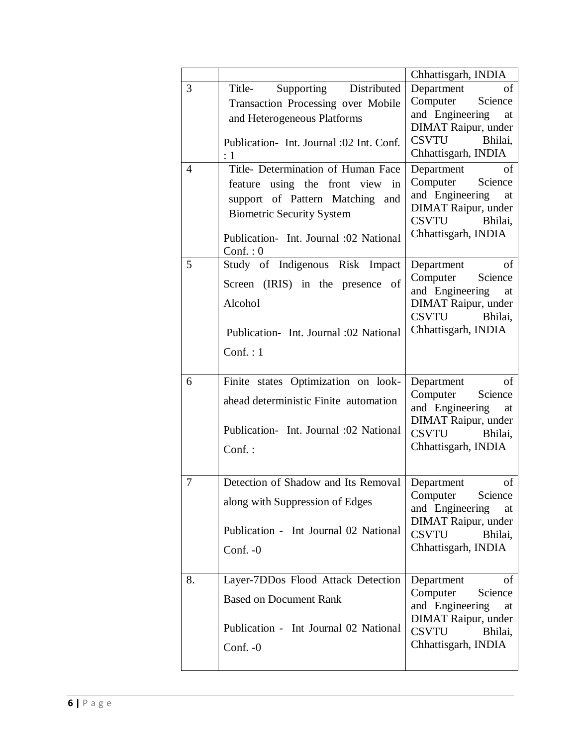|                     |                                                                                                                                                                                                                                                                                                                                                                       | Chhattisgarh, INDIA                                                                                                                                                                                                                                                          |
|---------------------|-----------------------------------------------------------------------------------------------------------------------------------------------------------------------------------------------------------------------------------------------------------------------------------------------------------------------------------------------------------------------|------------------------------------------------------------------------------------------------------------------------------------------------------------------------------------------------------------------------------------------------------------------------------|
| 3<br>$\overline{4}$ | Supporting Distributed<br>Title-<br>Transaction Processing over Mobile<br>and Heterogeneous Platforms<br>Publication-Int. Journal :02 Int. Conf.<br>$\colon$ 1<br>Title- Determination of Human Face<br>feature using the front view in<br>support of Pattern Matching and<br><b>Biometric Security System</b><br>Publication- Int. Journal :02 National<br>Conf. : 0 | Department<br>of<br>Computer<br>Science<br>and Engineering<br>at<br>DIMAT Raipur, under<br>CSVTU Bhilai,<br>Chhattisgarh, INDIA<br>Department<br>of<br>Computer<br>Science<br>and Engineering<br>at<br><b>DIMAT Raipur, under</b><br>CSVTU<br>Bhilai,<br>Chhattisgarh, INDIA |
| 5                   | Study of Indigenous Risk Impact<br>Screen (IRIS) in the presence of<br>Alcohol<br>Publication-Int. Journal :02 National<br>Conf. : 1                                                                                                                                                                                                                                  | $% \left( \left( \mathcal{A},\mathcal{A}\right) \right) =\left( \mathcal{A},\mathcal{A}\right)$ of<br>Department<br>Computer<br>Science<br>and Engineering<br>at<br><b>DIMAT Raipur, under</b><br>CSVTU<br>Bhilai,<br>Chhattisgarh, INDIA                                    |
| 6                   | Finite states Optimization on look-<br>ahead deterministic Finite automation<br>Publication- Int. Journal :02 National<br>Conf.:                                                                                                                                                                                                                                      | Department<br>of<br>Computer<br>Science<br>and Engineering<br>at<br>DIMAT Raipur, under<br>CSVTU Bhilai,<br>Chhattisgarh, INDIA                                                                                                                                              |
| 7                   | Detection of Shadow and Its Removal   Department<br>along with Suppression of Edges<br>Publication - Int Journal 02 National<br>Conf. $-0$                                                                                                                                                                                                                            | of<br>Computer<br>Science<br>and Engineering<br>at<br>DIMAT Raipur, under<br><b>CSVTU</b><br>Bhilai,<br>Chhattisgarh, INDIA                                                                                                                                                  |
| 8.                  | Layer-7DDos Flood Attack Detection<br><b>Based on Document Rank</b><br>Publication - Int Journal 02 National<br>Conf. $-0$                                                                                                                                                                                                                                            | Department<br>οf<br>Computer<br>Science<br>and Engineering<br>at<br>DIMAT Raipur, under<br>CSVTU<br>Bhilai,<br>Chhattisgarh, INDIA                                                                                                                                           |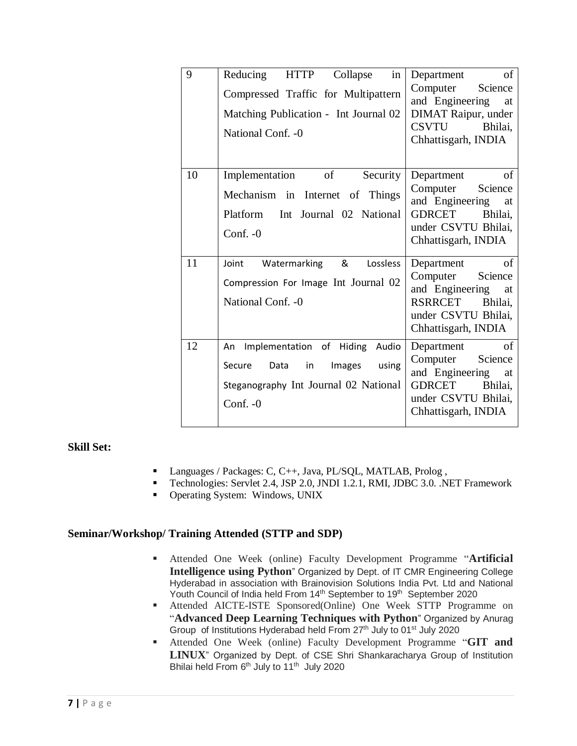| 9  | in<br>Reducing<br><b>HTTP</b><br>Collapse<br>Compressed Traffic for Multipattern<br>Matching Publication - Int Journal 02<br>National Conf. - 0 | of<br>Department<br>Computer<br>Science<br>and Engineering<br>at<br><b>DIMAT Raipur, under</b><br>CSVTU<br>Bhilai,<br>Chhattisgarh, INDIA  |
|----|-------------------------------------------------------------------------------------------------------------------------------------------------|--------------------------------------------------------------------------------------------------------------------------------------------|
| 10 | of<br>Implementation<br>Security<br>Mechanism in Internet of Things<br>Int Journal 02 National<br>Platform<br>Conf. $-0$                        | of<br>Department<br>Computer<br>Science<br>and Engineering<br>at<br><b>GDRCET</b><br>Bhilai.<br>under CSVTU Bhilai,<br>Chhattisgarh, INDIA |
| 11 | Lossless<br>Joint<br>Watermarking<br>&<br>Compression For Image Int Journal 02<br>National Conf. - 0                                            | of<br>Department<br>Computer<br>Science<br>and Engineering<br>at<br>RSRRCET<br>Bhilai,<br>under CSVTU Bhilai,<br>Chhattisgarh, INDIA       |
| 12 | Implementation of Hiding Audio<br>An<br>in<br>using<br>Data<br>Images<br>Secure<br>Steganography Int Journal 02 National<br>Conf. $-0$          | of<br>Department<br>Computer<br>Science<br>and Engineering<br>at<br><b>GDRCET</b><br>Bhilai,<br>under CSVTU Bhilai,<br>Chhattisgarh, INDIA |

# **Skill Set:**

- Languages / Packages: C, C++, Java, PL/SQL, MATLAB, Prolog,
- Technologies: Servlet 2.4, JSP 2.0, JNDI 1.2.1, RMI, JDBC 3.0. .NET Framework
- Operating System: Windows, UNIX

# **Seminar/Workshop/ Training Attended (STTP and SDP)**

- Attended One Week (online) Faculty Development Programme "**Artificial Intelligence using Python**" Organized by Dept. of IT CMR Engineering College Hyderabad in association with Brainovision Solutions India Pvt. Ltd and National Youth Council of India held From 14<sup>th</sup> September to 19<sup>th</sup> September 2020
- Attended AICTE-ISTE Sponsored(Online) One Week STTP Programme on "**Advanced Deep Learning Techniques with Python**" Organized by Anurag Group of Institutions Hyderabad held From 27<sup>th</sup> July to 01<sup>st</sup> July 2020
- Attended One Week (online) Faculty Development Programme "**GIT and LINUX**" Organized by Dept. of CSE Shri Shankaracharya Group of Institution Bhilai held From 6<sup>th</sup> July to 11<sup>th</sup> July 2020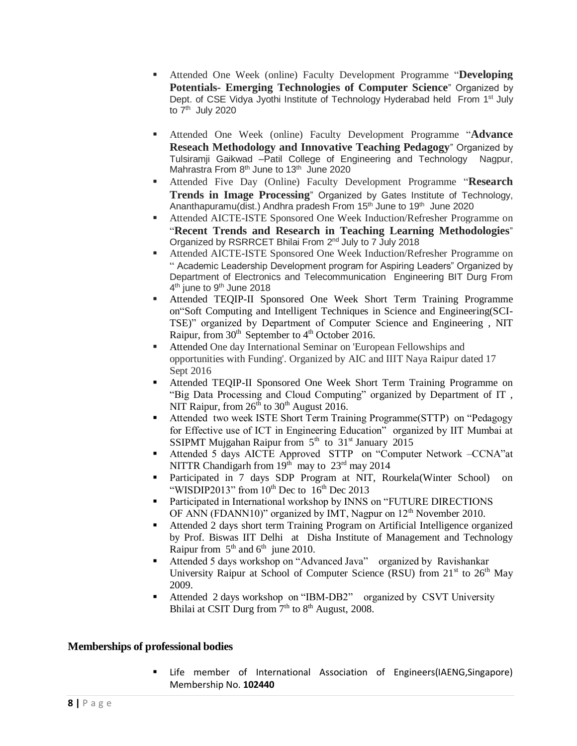- Attended One Week (online) Faculty Development Programme "**Developing Potentials- Emerging Technologies of Computer Science**" Organized by Dept. of CSE Vidya Jyothi Institute of Technology Hyderabad held From 1<sup>st</sup> July to 7<sup>th</sup> July 2020
- Attended One Week (online) Faculty Development Programme "**Advance Reseach Methodology and Innovative Teaching Pedagogy**" Organized by Tulsiramji Gaikwad –Patil College of Engineering and Technology Nagpur, Mahrastra From 8<sup>th</sup> June to 13<sup>th</sup> June 2020
- Attended Five Day (Online) Faculty Development Programme "**Research Trends in Image Processing**" Organized by Gates Institute of Technology, Ananthapuramu(dist.) Andhra pradesh From 15<sup>th</sup> June to 19<sup>th</sup> June 2020
- Attended AICTE-ISTE Sponsored One Week Induction/Refresher Programme on "**Recent Trends and Research in Teaching Learning Methodologies**" Organized by RSRRCET Bhilai From 2<sup>nd</sup> July to 7 July 2018
- Attended AICTE-ISTE Sponsored One Week Induction/Refresher Programme on " Academic Leadership Development program for Aspiring Leaders" Organized by Department of Electronics and Telecommunication Engineering BIT Durg From 4<sup>th</sup> june to 9<sup>th</sup> June 2018
- Attended TEQIP-II Sponsored One Week Short Term Training Programme on"Soft Computing and Intelligent Techniques in Science and Engineering(SCI-TSE)" organized by Department of Computer Science and Engineering , NIT Raipur, from  $30<sup>th</sup>$  September to  $4<sup>th</sup>$  October 2016.
- Attended One day International Seminar on 'European Fellowships and opportunities with Funding'. Organized by AIC and IIIT Naya Raipur dated 17 Sept 2016
- Attended TEQIP-II Sponsored One Week Short Term Training Programme on "Big Data Processing and Cloud Computing" organized by Department of IT , NIT Raipur, from  $26<sup>th</sup>$  to  $30<sup>th</sup>$  August 2016.
- Attended two week ISTE Short Term Training Programme(STTP) on "Pedagogy for Effective use of ICT in Engineering Education" organized by IIT Mumbai at SSIPMT Mujgahan Raipur from  $5<sup>th</sup>$  to  $31<sup>st</sup>$  January 2015
- Attended 5 days AICTE Approved STTP on "Computer Network –CCNA"at NITTR Chandigarh from  $19<sup>th</sup>$  may to  $23<sup>rd</sup>$  may 2014
- Participated in 7 days SDP Program at NIT, Rourkela(Winter School) on "WISDIP2013" from  $10^{th}$  Dec to  $16^{th}$  Dec 2013
- Participated in International workshop by INNS on "FUTURE DIRECTIONS OF ANN (FDANN10)" organized by IMT, Nagpur on  $12<sup>th</sup>$  November 2010.
- Attended 2 days short term Training Program on Artificial Intelligence organized by Prof. Biswas IIT Delhi at Disha Institute of Management and Technology Raipur from  $5<sup>th</sup>$  and  $6<sup>th</sup>$  june 2010.
- Attended 5 days workshop on "Advanced Java" organized by Ravishankar University Raipur at School of Computer Science (RSU) from  $21<sup>st</sup>$  to  $26<sup>th</sup>$  May 2009.
- Attended 2 days workshop on "IBM-DB2" organized by CSVT University Bhilai at CSIT Durg from  $7<sup>th</sup>$  to  $8<sup>th</sup>$  August, 2008.

# **Memberships of professional bodies**

 Life member of International Association of Engineers(IAENG,Singapore) Membership No. **102440**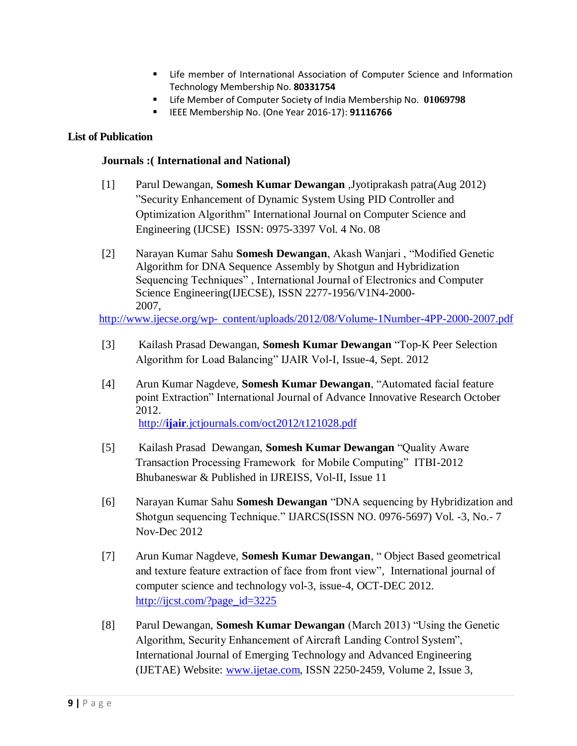- **EXECT** Life member of International Association of Computer Science and Information Technology Membership No. **80331754**
- Life Member of Computer Society of India Membership No. **01069798**
- **EXECO MEMBERSHIP No. (One Year 2016-17): 91116766**

# **List of Publication**

## **Journals :( International and National)**

- [1] Parul Dewangan, **Somesh Kumar Dewangan** ,Jyotiprakash patra(Aug 2012) "Security Enhancement of Dynamic System Using PID Controller and Optimization Algorithm" International Journal on Computer Science and Engineering (IJCSE) ISSN: 0975-3397 Vol. 4 No. 08
- [2] Narayan Kumar Sahu **Somesh Dewangan**, Akash Wanjari , "Modified Genetic Algorithm for DNA Sequence Assembly by Shotgun and Hybridization Sequencing Techniques" , International Journal of Electronics and Computer Science Engineering(IJECSE), ISSN 2277-1956/V1N4-2000- 2007,

http://www.ijecse.org/wp- [content/uploads/2012/08/Volume-1Number-4PP-2000-2007.pdf](http://www.ijecse.org/wp-%20content/uploads/2012/08/Volume-1Number-4PP-2000-2007.pdf)

- [3] Kailash Prasad Dewangan, **Somesh Kumar Dewangan** "Top-K Peer Selection Algorithm for Load Balancing" IJAIR Vol-I, Issue-4, Sept. 2012
- [4] Arun Kumar Nagdeve, **Somesh Kumar Dewangan**, "Automated facial feature point Extraction" International Journal of Advance Innovative Research October 2012. http://**ijair**[.jctjournals.com/oct2012/t121028.pdf](http://ijair.jctjournals.com/oct2012/t121028.pdf)
- [5] Kailash Prasad Dewangan, **Somesh Kumar Dewangan** "Quality Aware Transaction Processing Framework for Mobile Computing" ITBI-2012 Bhubaneswar & Published in IJREISS, Vol-II, Issue 11
- [6] Narayan Kumar Sahu **Somesh Dewangan** "DNA sequencing by Hybridization and Shotgun sequencing Technique." IJARCS(ISSN NO. 0976-5697) Vol. -3, No.- 7 Nov-Dec 2012
- [7] Arun Kumar Nagdeve, **Somesh Kumar Dewangan**, " Object Based geometrical and texture feature extraction of face from front view", International journal of computer science and technology vol-3, issue-4, OCT-DEC 2012. [http://ijcst.com/?page\\_id=3225](http://ijcst.com/?page_id=3225)
- [8] Parul Dewangan, **Somesh Kumar Dewangan** (March 2013) "Using the Genetic Algorithm, Security Enhancement of Aircraft Landing Control System", International Journal of Emerging Technology and Advanced Engineering (IJETAE) Website: [www.ijetae.com,](http://www.ijetae.com/) ISSN 2250-2459, Volume 2, Issue 3,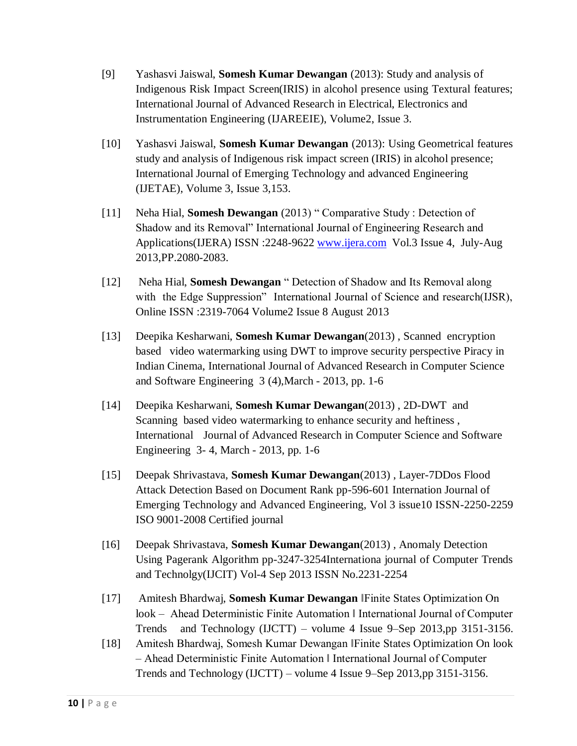- [9] Yashasvi Jaiswal, **Somesh Kumar Dewangan** (2013): Study and analysis of Indigenous Risk Impact Screen(IRIS) in alcohol presence using Textural features; International Journal of Advanced Research in Electrical, Electronics and Instrumentation Engineering (IJAREEIE), Volume2, Issue 3.
- [10] Yashasvi Jaiswal, **Somesh Kumar Dewangan** (2013): Using Geometrical features study and analysis of Indigenous risk impact screen (IRIS) in alcohol presence; International Journal of Emerging Technology and advanced Engineering (IJETAE), Volume 3, Issue 3,153.
- [11] Neha Hial, **Somesh Dewangan** (2013) " Comparative Study : Detection of Shadow and its Removal" International Journal of Engineering Research and Applications(IJERA) ISSN :2248-9622 [www.ijera.com](http://www.ijera.com/) Vol.3 Issue 4, July-Aug 2013,PP.2080-2083.
- [12] Neha Hial, **Somesh Dewangan** " Detection of Shadow and Its Removal along with the Edge Suppression" International Journal of Science and research(IJSR), Online ISSN :2319-7064 Volume2 Issue 8 August 2013
- [13] Deepika Kesharwani, **Somesh Kumar Dewangan**(2013) , Scanned encryption based video watermarking using DWT to improve security perspective Piracy in Indian Cinema, International Journal of Advanced Research in Computer Science and Software Engineering 3 (4),March - 2013, pp. 1-6
- [14] Deepika Kesharwani, **Somesh Kumar Dewangan**(2013) , 2D-DWT and Scanning based video watermarking to enhance security and heftiness , International Journal of Advanced Research in Computer Science and Software Engineering 3- 4, March - 2013, pp. 1-6
- [15] Deepak Shrivastava, **Somesh Kumar Dewangan**(2013) , Layer-7DDos Flood Attack Detection Based on Document Rank pp-596-601 Internation Journal of Emerging Technology and Advanced Engineering, Vol 3 issue10 ISSN-2250-2259 ISO 9001-2008 Certified journal
- [16] Deepak Shrivastava, **Somesh Kumar Dewangan**(2013) , Anomaly Detection Using Pagerank Algorithm pp-3247-3254Internationa journal of Computer Trends and Technolgy(IJCIT) Vol-4 Sep 2013 ISSN No.2231-2254
- [17] Amitesh Bhardwaj, **Somesh Kumar Dewangan** ‖Finite States Optimization On look – Ahead Deterministic Finite Automation ‖ International Journal of Computer Trends and Technology (IJCTT) – volume 4 Issue 9–Sep 2013,pp 3151-3156.
- [18] Amitesh Bhardwaj, Somesh Kumar Dewangan ‖Finite States Optimization On look – Ahead Deterministic Finite Automation ‖ International Journal of Computer Trends and Technology (IJCTT) – volume 4 Issue 9–Sep 2013,pp 3151-3156.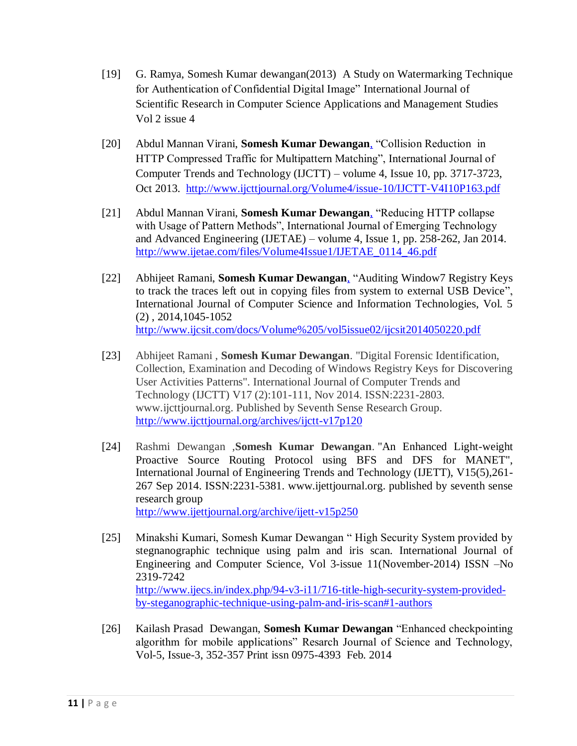- [19] G. Ramya, Somesh Kumar dewangan(2013) A Study on Watermarking Technique for Authentication of Confidential Digital Image" International Journal of Scientific Research in Computer Science Applications and Management Studies Vol 2 issue 4
- [20] Abdul Mannan Virani, **Somesh Kumar Dewangan**[,](http://www.bibsonomy.org/bibtex/a68e2c82283de4c9cab75ac2f24ecbf6) "Collision Reduction in HTTP Compressed Traffic for Multipattern Matching", International Journal of Computer Trends and Technology (IJCTT) – volume 4, Issue 10, pp. 3717-3723, Oct 2013. [http://www.ijcttjournal.org/Volume4/issue-10/IJCTT-V4I10P163.pdf](file:///E:/../AppData/Roaming/Microsoft/Word/desktop03022019/28112018/somesh/My%20Documents/Downloads/datw%208102016/Local%20Settings/Temp/Temporary%20Directory%202%20for%20Attachments_201658.zip/My%20Documents/Downloads/19042014/httpwww.ijcttjournal.orgVolume4issue-10IJCTT-V4I10P163.pdf)
- [21] Abdul Mannan Virani, **Somesh Kumar Dewangan**[,](http://www.bibsonomy.org/bibtex/a68e2c82283de4c9cab75ac2f24ecbf6) "Reducing HTTP collapse with Usage of Pattern Methods", International Journal of Emerging Technology and Advanced Engineering (IJETAE) – volume 4, Issue 1, pp. 258-262, Jan 2014. [http://www.ijetae.com/files/Volume4Issue1/IJETAE\\_0114\\_46.pdf](file:///E:/AppData/Roaming/Microsoft/Word/desktop03022019/28112018/somesh/My%20Documents/Downloads/datw%208102016/Local%20Settings/Temp/Temporary%20Directory%202%20for%20Attachments_201658.zip/My%20Documents/Downloads/19042014/IJETAE_0114_46.pdf)
- [22] Abhijeet Ramani, **Somesh Kumar Dewangan**[,](http://www.bibsonomy.org/bibtex/a68e2c82283de4c9cab75ac2f24ecbf6) "Auditing Window7 Registry Keys to track the traces left out in copying files from system to external USB Device", International Journal of Computer Science and Information Technologies, Vol. 5 (2) , 2014,1045-1052 <http://www.ijcsit.com/docs/Volume%205/vol5issue02/ijcsit2014050220.pdf>
- [23] Abhijeet Ramani , **Somesh Kumar Dewangan**. "Digital Forensic Identification, Collection, Examination and Decoding of Windows Registry Keys for Discovering User Activities Patterns". International Journal of Computer Trends and Technology (IJCTT) V17 (2):101-111, Nov 2014. ISSN:2231-2803. www.ijcttjournal.org. Published by Seventh Sense Research Group. <http://www.ijcttjournal.org/archives/ijctt-v17p120>
- [24] Rashmi Dewangan ,**Somesh Kumar Dewangan**. "An Enhanced Light-weight Proactive Source Routing Protocol using BFS and DFS for MANET", International Journal of Engineering Trends and Technology (IJETT), V15(5),261- 267 Sep 2014. ISSN:2231-5381. www.ijettjournal.org. published by seventh sense research group <http://www.ijettjournal.org/archive/ijett-v15p250>
- [25] Minakshi Kumari, Somesh Kumar Dewangan " High Security System provided by stegnanographic technique using palm and iris scan. International Journal of Engineering and Computer Science, Vol 3-issue 11(November-2014) ISSN –No 2319-7242 [http://www.ijecs.in/index.php/94-v3-i11/716-title-high-security-system-provided](http://www.ijecs.in/index.php/94-v3-i11/716-title-high-security-system-provided-by-steganographic-technique-using-palm-and-iris-scan#1-authors)[by-steganographic-technique-using-palm-and-iris-scan#1-authors](http://www.ijecs.in/index.php/94-v3-i11/716-title-high-security-system-provided-by-steganographic-technique-using-palm-and-iris-scan#1-authors)
- [26] Kailash Prasad Dewangan, **Somesh Kumar Dewangan** "Enhanced checkpointing algorithm for mobile applications" Resarch Journal of Science and Technology, Vol-5, Issue-3, 352-357 Print issn 0975-4393 Feb. 2014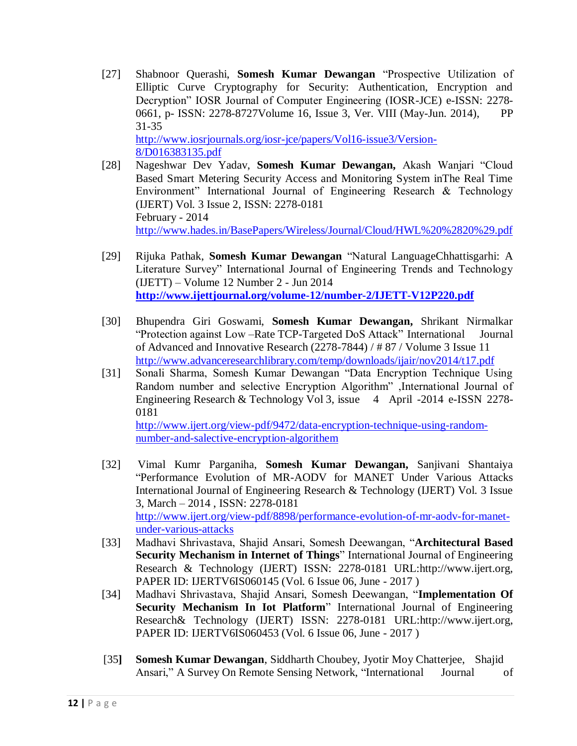- [27] Shabnoor Querashi, **Somesh Kumar Dewangan** "Prospective Utilization of Elliptic Curve Cryptography for Security: Authentication, Encryption and Decryption" IOSR Journal of Computer Engineering (IOSR-JCE) e-ISSN: 2278- 0661, p- ISSN: 2278-8727Volume 16, Issue 3, Ver. VIII (May-Jun. 2014), PP 31-35 [http://www.iosrjournals.org/iosr-jce/papers/Vol16-issue3/Version-](http://www.iosrjournals.org/iosr-jce/papers/Vol16-issue3/Version-8/D016383135.pdf)[8/D016383135.pdf](http://www.iosrjournals.org/iosr-jce/papers/Vol16-issue3/Version-8/D016383135.pdf)
- [28] Nageshwar Dev Yadav, **Somesh Kumar Dewangan,** Akash Wanjari "Cloud Based Smart Metering Security Access and Monitoring System inThe Real Time Environment" International Journal of Engineering Research & Technology (IJERT) Vol. 3 Issue 2, ISSN: 2278-0181 February - 2014 <http://www.hades.in/BasePapers/Wireless/Journal/Cloud/HWL%20%2820%29.pdf>
- [29] Rijuka Pathak, **Somesh Kumar Dewangan** "Natural LanguageChhattisgarhi: A Literature Survey" International Journal of Engineering Trends and Technology (IJETT) – Volume 12 Number 2 - Jun 2014 **<http://www.ijettjournal.org/volume-12/number-2/IJETT-V12P220.pdf>**
- [30] Bhupendra Giri Goswami, **Somesh Kumar Dewangan,** Shrikant Nirmalkar "Protection against Low –Rate TCP-Targeted DoS Attack" International Journal of Advanced and Innovative Research (2278-7844) / # 87 / Volume 3 Issue 11 <http://www.advanceresearchlibrary.com/temp/downloads/ijair/nov2014/t17.pdf>
- [31] Sonali Sharma, Somesh Kumar Dewangan "Data Encryption Technique Using Random number and selective Encryption Algorithm" ,International Journal of Engineering Research & Technology Vol 3, issue 4 April -2014 e-ISSN 2278-0181 [http://www.ijert.org/view-pdf/9472/data-encryption-technique-using-random-](http://www.ijert.org/view-pdf/9472/data-encryption-technique-using-random-number-and-salective-encryption-algorithem)

[number-and-salective-encryption-algorithem](http://www.ijert.org/view-pdf/9472/data-encryption-technique-using-random-number-and-salective-encryption-algorithem)

- [32] Vimal Kumr Parganiha, **Somesh Kumar Dewangan,** Sanjivani Shantaiya "Performance Evolution of MR-AODV for MANET Under Various Attacks International Journal of Engineering Research & Technology (IJERT) Vol. 3 Issue 3, March – 2014 , ISSN: 2278-0181 [http://www.ijert.org/view-pdf/8898/performance-evolution-of-mr-aodv-for-manet](http://www.ijert.org/view-pdf/8898/performance-evolution-of-mr-aodv-for-manet-under-various-attacks)[under-various-attacks](http://www.ijert.org/view-pdf/8898/performance-evolution-of-mr-aodv-for-manet-under-various-attacks)
- [33] Madhavi Shrivastava, Shajid Ansari, Somesh Deewangan, "**Architectural Based Security Mechanism in Internet of Things**" International Journal of Engineering Research & Technology (IJERT) ISSN: 2278-0181 URL:http://www.ijert.org, PAPER ID: IJERTV6IS060145 (Vol. 6 Issue 06, June - 2017 )
- [34] Madhavi Shrivastava, Shajid Ansari, Somesh Deewangan, "**Implementation Of Security Mechanism In Iot Platform**" International Journal of Engineering Research& Technology (IJERT) ISSN: 2278-0181 URL:http://www.ijert.org, PAPER ID: IJERTV6IS060453 (Vol. 6 Issue 06, June - 2017 )
- [35**] Somesh Kumar Dewangan**, Siddharth Choubey, Jyotir Moy Chatterjee, Shajid Ansari," A Survey On Remote Sensing Network, "International Journal of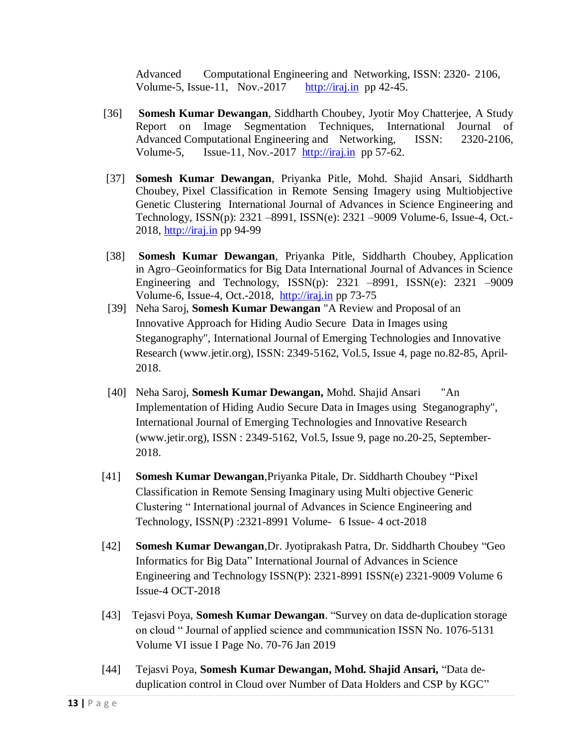Advanced Computational Engineering and Networking, ISSN: 2320- 2106, Volume-5, Issue-11, Nov.-2017  $http://iraj.in pp 42-45.$ </u>

- [36] **Somesh Kumar Dewangan**, Siddharth Choubey, Jyotir Moy Chatterjee, A Study Report on Image Segmentation Techniques, International Journal of Advanced Computational Engineering and Networking, ISSN: 2320-2106, Volume-5, Issue-11, Nov.-2017 [http://iraj.in](http://iraj.in/) pp 57-62.
- [37] **Somesh Kumar Dewangan**, Priyanka Pitle, Mohd. Shajid Ansari, Siddharth Choubey, Pixel Classification in Remote Sensing Imagery using Multiobjective Genetic Clustering International Journal of Advances in Science Engineering and Technology, ISSN(p): 2321 –8991, ISSN(e): 2321 –9009 Volume-6, Issue-4, Oct.- 2018, [http://iraj.in](http://iraj.in/) pp 94-99
- [38] **Somesh Kumar Dewangan**, Priyanka Pitle, Siddharth Choubey, Application in Agro–Geoinformatics for Big Data International Journal of Advances in Science Engineering and Technology, ISSN(p): 2321 –8991, ISSN(e): 2321 –9009 Volume-6, Issue-4, Oct.-2018, [http://iraj.in](http://iraj.in/) pp 73-75
- [39] Neha Saroj, **Somesh Kumar Dewangan** "A Review and Proposal of an Innovative Approach for Hiding Audio Secure Data in Images using Steganography", International Journal of Emerging Technologies and Innovative Research (www.jetir.org), ISSN: 2349-5162, Vol.5, Issue 4, page no.82-85, April-2018.
- [40] Neha Saroj, **Somesh Kumar Dewangan,** Mohd. Shajid Ansari "An Implementation of Hiding Audio Secure Data in Images using Steganography", International Journal of Emerging Technologies and Innovative Research (www.jetir.org), ISSN : 2349-5162, Vol.5, Issue 9, page no.20-25, September-2018.
- [41] **Somesh Kumar Dewangan**,Priyanka Pitale, Dr. Siddharth Choubey "Pixel Classification in Remote Sensing Imaginary using Multi objective Generic Clustering " International journal of Advances in Science Engineering and Technology, ISSN(P) :2321-8991 Volume- 6 Issue- 4 oct-2018
- [42] **Somesh Kumar Dewangan**,Dr. Jyotiprakash Patra, Dr. Siddharth Choubey "Geo Informatics for Big Data" International Journal of Advances in Science Engineering and Technology ISSN(P): 2321-8991 ISSN(e) 2321-9009 Volume 6 Issue-4 OCT-2018
- [43] Tejasvi Poya, **Somesh Kumar Dewangan**. "Survey on data de-duplication storage on cloud " Journal of applied science and communication ISSN No. 1076-5131 Volume VI issue I Page No. 70-76 Jan 2019
- [44] Tejasvi Poya, **Somesh Kumar Dewangan, Mohd. Shajid Ansari,** "Data deduplication control in Cloud over Number of Data Holders and CSP by KGC"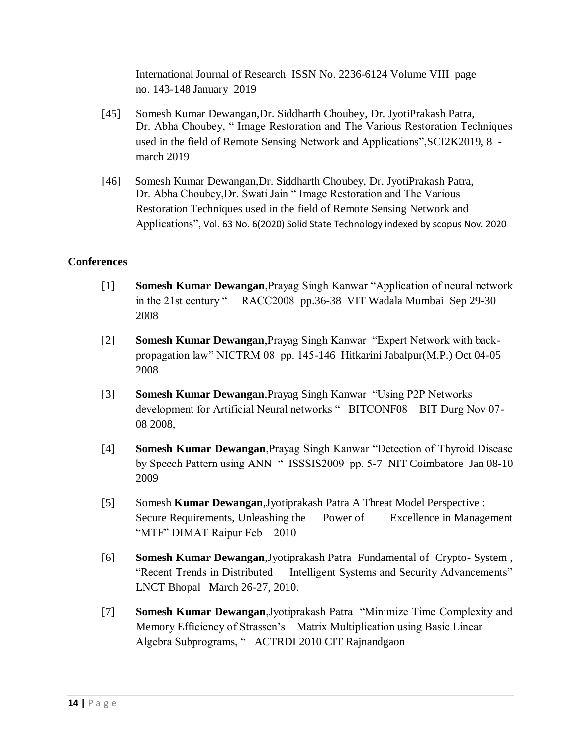International Journal of Research ISSN No. 2236-6124 Volume VIII page no. 143-148 January 2019

- [45] Somesh Kumar Dewangan,Dr. Siddharth Choubey, Dr. JyotiPrakash Patra, Dr. Abha Choubey, " Image Restoration and The Various Restoration Techniques used in the field of Remote Sensing Network and Applications",SCI2K2019, 8 march 2019
- [46] Somesh Kumar Dewangan,Dr. Siddharth Choubey, Dr. JyotiPrakash Patra, Dr. Abha Choubey,Dr. Swati Jain " Image Restoration and The Various Restoration Techniques used in the field of Remote Sensing Network and Applications", Vol. 63 No. 6(2020) Solid State Technology indexed by scopus Nov. 2020

# **Conferences**

- [1] **Somesh Kumar Dewangan**,Prayag Singh Kanwar "Application of neural network in the 21st century " RACC2008 pp.36-38 VIT Wadala Mumbai Sep 29-30 2008
- [2] **Somesh Kumar Dewangan**,Prayag Singh Kanwar "Expert Network with backpropagation law" NICTRM 08 pp. 145-146 Hitkarini Jabalpur(M.P.) Oct 04-05 2008
- [3] **Somesh Kumar Dewangan**,Prayag Singh Kanwar "Using P2P Networks development for Artificial Neural networks " BITCONF08 BIT Durg Nov 07-08 2008,
- [4] **Somesh Kumar Dewangan**,Prayag Singh Kanwar "Detection of Thyroid Disease by Speech Pattern using ANN " ISSSIS2009 pp. 5-7 NIT Coimbatore Jan 08-10 2009
- [5] Somesh **Kumar Dewangan**,Jyotiprakash Patra A Threat Model Perspective : Secure Requirements, Unleashing the Power of Excellence in Management "MTF" DIMAT Raipur Feb 2010
- [6] **Somesh Kumar Dewangan**,Jyotiprakash Patra Fundamental of Crypto- System , "Recent Trends in Distributed Intelligent Systems and Security Advancements" LNCT Bhopal March 26-27, 2010.
- [7] **Somesh Kumar Dewangan**,Jyotiprakash Patra "Minimize Time Complexity and Memory Efficiency of Strassen's Matrix Multiplication using Basic Linear Algebra Subprograms, " ACTRDI 2010 CIT Rajnandgaon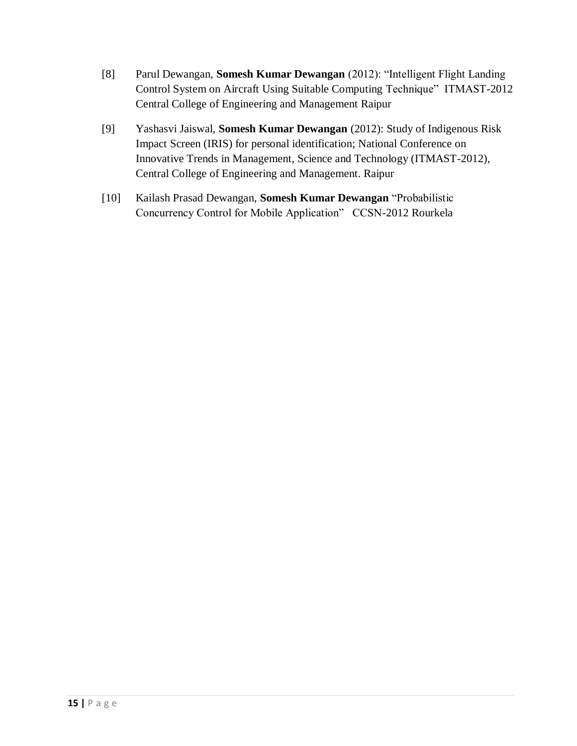- [8] Parul Dewangan, **Somesh Kumar Dewangan** (2012): "Intelligent Flight Landing Control System on Aircraft Using Suitable Computing Technique" ITMAST-2012 Central College of Engineering and Management Raipur
- [9] Yashasvi Jaiswal, **Somesh Kumar Dewangan** (2012): Study of Indigenous Risk Impact Screen (IRIS) for personal identification; National Conference on Innovative Trends in Management, Science and Technology (ITMAST-2012), Central College of Engineering and Management. Raipur
- [10] Kailash Prasad Dewangan, **Somesh Kumar Dewangan** "Probabilistic Concurrency Control for Mobile Application" CCSN-2012 Rourkela